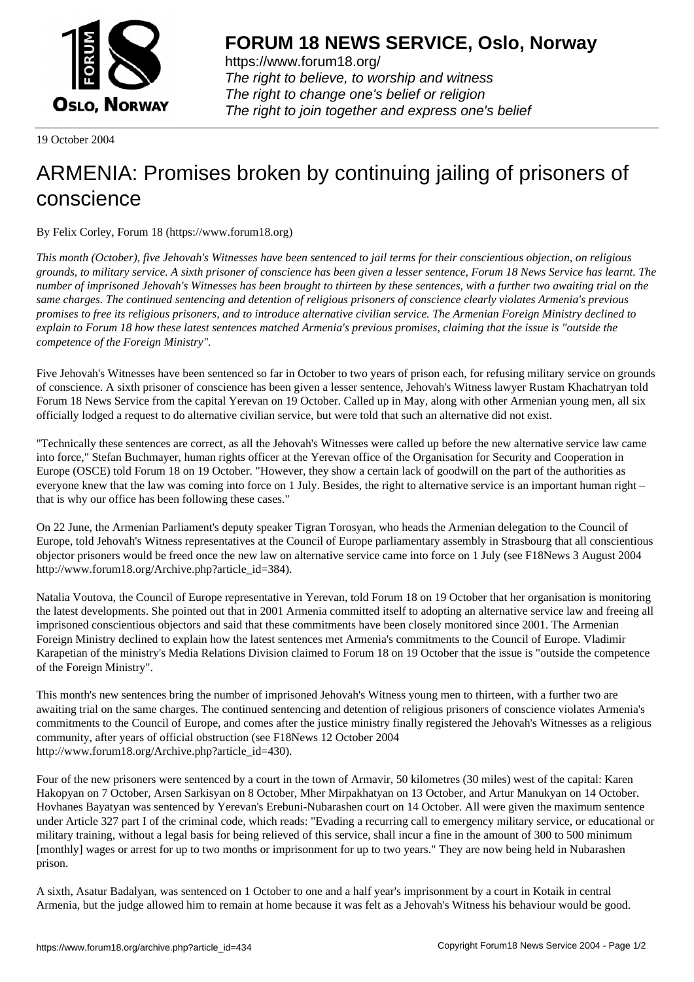

https://www.forum18.org/ The right to believe, to worship and witness The right to change one's belief or religion [The right to join together a](https://www.forum18.org/)nd express one's belief

19 October 2004

## [ARMENIA: Prom](https://www.forum18.org)ises broken by continuing jailing of prisoners of conscience

By Felix Corley, Forum 18 (https://www.forum18.org)

*This month (October), five Jehovah's Witnesses have been sentenced to jail terms for their conscientious objection, on religious grounds, to military service. A sixth prisoner of conscience has been given a lesser sentence, Forum 18 News Service has learnt. The number of imprisoned Jehovah's Witnesses has been brought to thirteen by these sentences, with a further two awaiting trial on the same charges. The continued sentencing and detention of religious prisoners of conscience clearly violates Armenia's previous promises to free its religious prisoners, and to introduce alternative civilian service. The Armenian Foreign Ministry declined to explain to Forum 18 how these latest sentences matched Armenia's previous promises, claiming that the issue is "outside the competence of the Foreign Ministry".*

Five Jehovah's Witnesses have been sentenced so far in October to two years of prison each, for refusing military service on grounds of conscience. A sixth prisoner of conscience has been given a lesser sentence, Jehovah's Witness lawyer Rustam Khachatryan told Forum 18 News Service from the capital Yerevan on 19 October. Called up in May, along with other Armenian young men, all six officially lodged a request to do alternative civilian service, but were told that such an alternative did not exist.

"Technically these sentences are correct, as all the Jehovah's Witnesses were called up before the new alternative service law came into force," Stefan Buchmayer, human rights officer at the Yerevan office of the Organisation for Security and Cooperation in Europe (OSCE) told Forum 18 on 19 October. "However, they show a certain lack of goodwill on the part of the authorities as everyone knew that the law was coming into force on 1 July. Besides, the right to alternative service is an important human right – that is why our office has been following these cases."

On 22 June, the Armenian Parliament's deputy speaker Tigran Torosyan, who heads the Armenian delegation to the Council of Europe, told Jehovah's Witness representatives at the Council of Europe parliamentary assembly in Strasbourg that all conscientious objector prisoners would be freed once the new law on alternative service came into force on 1 July (see F18News 3 August 2004 http://www.forum18.org/Archive.php?article\_id=384).

Natalia Voutova, the Council of Europe representative in Yerevan, told Forum 18 on 19 October that her organisation is monitoring the latest developments. She pointed out that in 2001 Armenia committed itself to adopting an alternative service law and freeing all imprisoned conscientious objectors and said that these commitments have been closely monitored since 2001. The Armenian Foreign Ministry declined to explain how the latest sentences met Armenia's commitments to the Council of Europe. Vladimir Karapetian of the ministry's Media Relations Division claimed to Forum 18 on 19 October that the issue is "outside the competence of the Foreign Ministry".

This month's new sentences bring the number of imprisoned Jehovah's Witness young men to thirteen, with a further two are awaiting trial on the same charges. The continued sentencing and detention of religious prisoners of conscience violates Armenia's commitments to the Council of Europe, and comes after the justice ministry finally registered the Jehovah's Witnesses as a religious community, after years of official obstruction (see F18News 12 October 2004 http://www.forum18.org/Archive.php?article\_id=430).

Four of the new prisoners were sentenced by a court in the town of Armavir, 50 kilometres (30 miles) west of the capital: Karen Hakopyan on 7 October, Arsen Sarkisyan on 8 October, Mher Mirpakhatyan on 13 October, and Artur Manukyan on 14 October. Hovhanes Bayatyan was sentenced by Yerevan's Erebuni-Nubarashen court on 14 October. All were given the maximum sentence under Article 327 part I of the criminal code, which reads: "Evading a recurring call to emergency military service, or educational or military training, without a legal basis for being relieved of this service, shall incur a fine in the amount of 300 to 500 minimum [monthly] wages or arrest for up to two months or imprisonment for up to two years." They are now being held in Nubarashen prison.

A sixth, Asatur Badalyan, was sentenced on 1 October to one and a half year's imprisonment by a court in Kotaik in central Armenia, but the judge allowed him to remain at home because it was felt as a Jehovah's Witness his behaviour would be good.